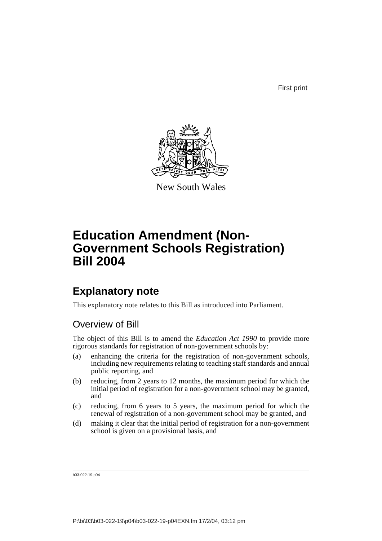First print



New South Wales

# **Education Amendment (Non-Government Schools Registration) Bill 2004**

## **Explanatory note**

This explanatory note relates to this Bill as introduced into Parliament.

## Overview of Bill

The object of this Bill is to amend the *Education Act 1990* to provide more rigorous standards for registration of non-government schools by:

- (a) enhancing the criteria for the registration of non-government schools, including new requirements relating to teaching staff standards and annual public reporting, and
- (b) reducing, from 2 years to 12 months, the maximum period for which the initial period of registration for a non-government school may be granted, and
- (c) reducing, from 6 years to 5 years, the maximum period for which the renewal of registration of a non-government school may be granted, and
- (d) making it clear that the initial period of registration for a non-government school is given on a provisional basis, and

b03-022-19.p04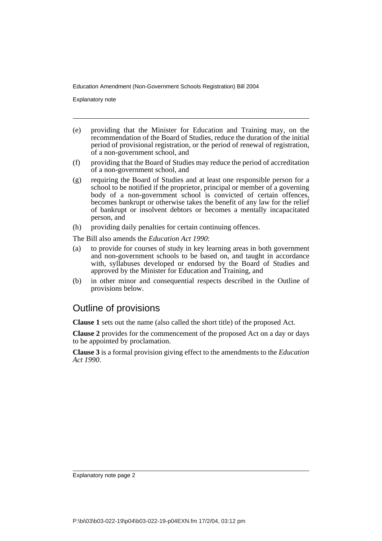Explanatory note

- (e) providing that the Minister for Education and Training may, on the recommendation of the Board of Studies, reduce the duration of the initial period of provisional registration, or the period of renewal of registration, of a non-government school, and
- (f) providing that the Board of Studies may reduce the period of accreditation of a non-government school, and
- (g) requiring the Board of Studies and at least one responsible person for a school to be notified if the proprietor, principal or member of a governing body of a non-government school is convicted of certain offences, becomes bankrupt or otherwise takes the benefit of any law for the relief of bankrupt or insolvent debtors or becomes a mentally incapacitated person, and
- (h) providing daily penalties for certain continuing offences.

The Bill also amends the *Education Act 1990*:

- (a) to provide for courses of study in key learning areas in both government and non-government schools to be based on, and taught in accordance with, syllabuses developed or endorsed by the Board of Studies and approved by the Minister for Education and Training, and
- (b) in other minor and consequential respects described in the Outline of provisions below.

## Outline of provisions

**Clause 1** sets out the name (also called the short title) of the proposed Act.

**Clause 2** provides for the commencement of the proposed Act on a day or days to be appointed by proclamation.

**Clause 3** is a formal provision giving effect to the amendments to the *Education Act 1990*.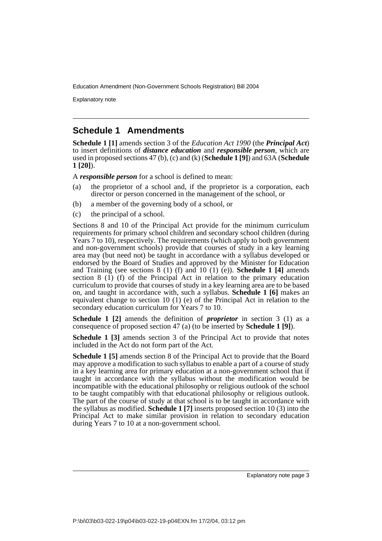Explanatory note

## **Schedule 1 Amendments**

**Schedule 1 [1]** amends section 3 of the *Education Act 1990* (the *Principal Act*) to insert definitions of *distance education* and *responsible person*, which are used in proposed sections 47 (b), (c) and (k) (**Schedule 1 [9]**) and 63A (**Schedule 1 [20]**).

A *responsible person* for a school is defined to mean:

- (a) the proprietor of a school and, if the proprietor is a corporation, each director or person concerned in the management of the school, or
- (b) a member of the governing body of a school, or
- (c) the principal of a school.

Sections 8 and 10 of the Principal Act provide for the minimum curriculum requirements for primary school children and secondary school children (during Years 7 to 10), respectively. The requirements (which apply to both government and non-government schools) provide that courses of study in a key learning area may (but need not) be taught in accordance with a syllabus developed or endorsed by the Board of Studies and approved by the Minister for Education and Training (see sections 8 (1) (f) and 10 (1) (e)). **Schedule 1 [4]** amends section  $8$  (1) (f) of the Principal Act in relation to the primary education curriculum to provide that courses of study in a key learning area are to be based on, and taught in accordance with, such a syllabus. **Schedule 1 [6]** makes an equivalent change to section 10 (1) (e) of the Principal Act in relation to the secondary education curriculum for Years 7 to 10.

**Schedule 1 [2]** amends the definition of *proprietor* in section 3 (1) as a consequence of proposed section 47 (a) (to be inserted by **Schedule 1 [9]**).

**Schedule 1 [3]** amends section 3 of the Principal Act to provide that notes included in the Act do not form part of the Act.

**Schedule 1 [5]** amends section 8 of the Principal Act to provide that the Board may approve a modification to such syllabus to enable a part of a course of study in a key learning area for primary education at a non-government school that if taught in accordance with the syllabus without the modification would be incompatible with the educational philosophy or religious outlook of the school to be taught compatibly with that educational philosophy or religious outlook. The part of the course of study at that school is to be taught in accordance with the syllabus as modified. **Schedule 1 [7]** inserts proposed section 10 (3) into the Principal Act to make similar provision in relation to secondary education during Years 7 to 10 at a non-government school.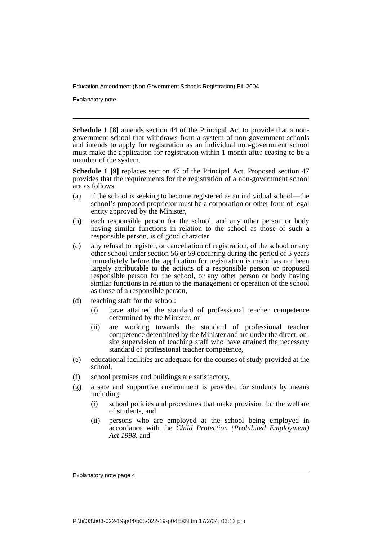Explanatory note

**Schedule 1 [8]** amends section 44 of the Principal Act to provide that a nongovernment school that withdraws from a system of non-government schools and intends to apply for registration as an individual non-government school must make the application for registration within 1 month after ceasing to be a member of the system.

**Schedule 1 [9]** replaces section 47 of the Principal Act. Proposed section 47 provides that the requirements for the registration of a non-government school are as follows:

- (a) if the school is seeking to become registered as an individual school—the school's proposed proprietor must be a corporation or other form of legal entity approved by the Minister,
- (b) each responsible person for the school, and any other person or body having similar functions in relation to the school as those of such a responsible person, is of good character,
- (c) any refusal to register, or cancellation of registration, of the school or any other school under section 56 or 59 occurring during the period of 5 years immediately before the application for registration is made has not been largely attributable to the actions of a responsible person or proposed responsible person for the school, or any other person or body having similar functions in relation to the management or operation of the school as those of a responsible person,
- (d) teaching staff for the school:
	- (i) have attained the standard of professional teacher competence determined by the Minister, or
	- (ii) are working towards the standard of professional teacher competence determined by the Minister and are under the direct, onsite supervision of teaching staff who have attained the necessary standard of professional teacher competence,
- (e) educational facilities are adequate for the courses of study provided at the school,
- (f) school premises and buildings are satisfactory,
- (g) a safe and supportive environment is provided for students by means including:
	- (i) school policies and procedures that make provision for the welfare of students, and
	- (ii) persons who are employed at the school being employed in accordance with the *Child Protection (Prohibited Employment) Act 1998*, and

Explanatory note page 4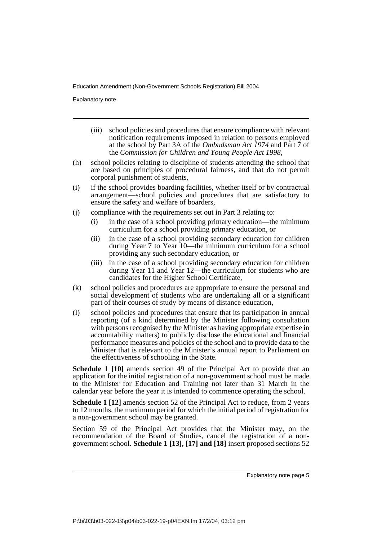Explanatory note

- (iii) school policies and procedures that ensure compliance with relevant notification requirements imposed in relation to persons employed at the school by Part 3A of the *Ombudsman Act 1974* and Part 7 of the *Commission for Children and Young People Act 1998*,
- (h) school policies relating to discipline of students attending the school that are based on principles of procedural fairness, and that do not permit corporal punishment of students,
- (i) if the school provides boarding facilities, whether itself or by contractual arrangement—school policies and procedures that are satisfactory to ensure the safety and welfare of boarders,
- (j) compliance with the requirements set out in Part 3 relating to:
	- (i) in the case of a school providing primary education—the minimum curriculum for a school providing primary education, or
	- (ii) in the case of a school providing secondary education for children during Year 7 to Year 10—the minimum curriculum for a school providing any such secondary education, or
	- (iii) in the case of a school providing secondary education for children during Year 11 and Year 12—the curriculum for students who are candidates for the Higher School Certificate,
- (k) school policies and procedures are appropriate to ensure the personal and social development of students who are undertaking all or a significant part of their courses of study by means of distance education,
- (l) school policies and procedures that ensure that its participation in annual reporting (of a kind determined by the Minister following consultation with persons recognised by the Minister as having appropriate expertise in accountability matters) to publicly disclose the educational and financial performance measures and policies of the school and to provide data to the Minister that is relevant to the Minister's annual report to Parliament on the effectiveness of schooling in the State.

**Schedule 1 [10]** amends section 49 of the Principal Act to provide that an application for the initial registration of a non-government school must be made to the Minister for Education and Training not later than 31 March in the calendar year before the year it is intended to commence operating the school.

**Schedule 1 [12]** amends section 52 of the Principal Act to reduce, from 2 years to 12 months, the maximum period for which the initial period of registration for a non-government school may be granted.

Section 59 of the Principal Act provides that the Minister may, on the recommendation of the Board of Studies, cancel the registration of a nongovernment school. **Schedule 1 [13], [17] and [18]** insert proposed sections 52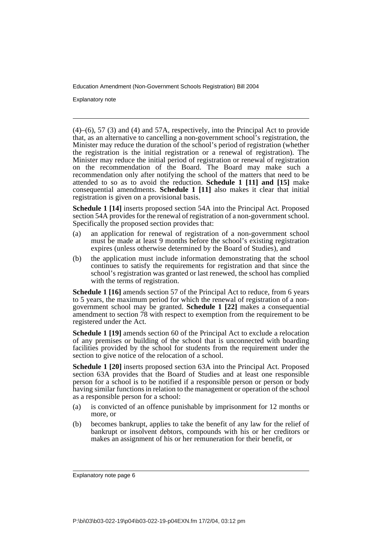Explanatory note

(4)–(6), 57 (3) and (4) and 57A, respectively, into the Principal Act to provide that, as an alternative to cancelling a non-government school's registration, the Minister may reduce the duration of the school's period of registration (whether the registration is the initial registration or a renewal of registration). The Minister may reduce the initial period of registration or renewal of registration on the recommendation of the Board. The Board may make such a recommendation only after notifying the school of the matters that need to be attended to so as to avoid the reduction. **Schedule 1 [11] and [15]** make consequential amendments. **Schedule 1 [11]** also makes it clear that initial registration is given on a provisional basis.

**Schedule 1 [14]** inserts proposed section 54A into the Principal Act. Proposed section 54A provides for the renewal of registration of a non-government school. Specifically the proposed section provides that:

- (a) an application for renewal of registration of a non-government school must be made at least 9 months before the school's existing registration expires (unless otherwise determined by the Board of Studies), and
- (b) the application must include information demonstrating that the school continues to satisfy the requirements for registration and that since the school's registration was granted or last renewed, the school has complied with the terms of registration.

**Schedule 1 [16]** amends section 57 of the Principal Act to reduce, from 6 years to 5 years, the maximum period for which the renewal of registration of a nongovernment school may be granted. **Schedule 1 [22]** makes a consequential amendment to section 78 with respect to exemption from the requirement to be registered under the Act.

**Schedule 1 [19]** amends section 60 of the Principal Act to exclude a relocation of any premises or building of the school that is unconnected with boarding facilities provided by the school for students from the requirement under the section to give notice of the relocation of a school.

**Schedule 1 [20]** inserts proposed section 63A into the Principal Act. Proposed section 63A provides that the Board of Studies and at least one responsible person for a school is to be notified if a responsible person or person or body having similar functions in relation to the management or operation of the school as a responsible person for a school:

- (a) is convicted of an offence punishable by imprisonment for 12 months or more, or
- (b) becomes bankrupt, applies to take the benefit of any law for the relief of bankrupt or insolvent debtors, compounds with his or her creditors or makes an assignment of his or her remuneration for their benefit, or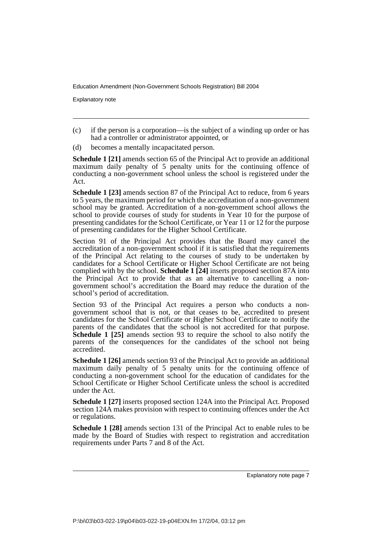Explanatory note

- (c) if the person is a corporation—is the subject of a winding up order or has had a controller or administrator appointed, or
- (d) becomes a mentally incapacitated person.

**Schedule 1 [21]** amends section 65 of the Principal Act to provide an additional maximum daily penalty of 5 penalty units for the continuing offence of conducting a non-government school unless the school is registered under the Act.

**Schedule 1 [23]** amends section 87 of the Principal Act to reduce, from 6 years to 5 years, the maximum period for which the accreditation of a non-government school may be granted. Accreditation of a non-government school allows the school to provide courses of study for students in Year 10 for the purpose of presenting candidates for the School Certificate, or Year 11 or 12 for the purpose of presenting candidates for the Higher School Certificate.

Section 91 of the Principal Act provides that the Board may cancel the accreditation of a non-government school if it is satisfied that the requirements of the Principal Act relating to the courses of study to be undertaken by candidates for a School Certificate or Higher School Certificate are not being complied with by the school. **Schedule 1 [24]** inserts proposed section 87A into the Principal Act to provide that as an alternative to cancelling a nongovernment school's accreditation the Board may reduce the duration of the school's period of accreditation.

Section 93 of the Principal Act requires a person who conducts a nongovernment school that is not, or that ceases to be, accredited to present candidates for the School Certificate or Higher School Certificate to notify the parents of the candidates that the school is not accredited for that purpose. **Schedule 1 [25]** amends section 93 to require the school to also notify the parents of the consequences for the candidates of the school not being accredited.

**Schedule 1 [26]** amends section 93 of the Principal Act to provide an additional maximum daily penalty of 5 penalty units for the continuing offence of conducting a non-government school for the education of candidates for the School Certificate or Higher School Certificate unless the school is accredited under the Act.

**Schedule 1 [27]** inserts proposed section 124A into the Principal Act. Proposed section 124A makes provision with respect to continuing offences under the Act or regulations.

**Schedule 1 [28]** amends section 131 of the Principal Act to enable rules to be made by the Board of Studies with respect to registration and accreditation requirements under Parts 7 and 8 of the Act.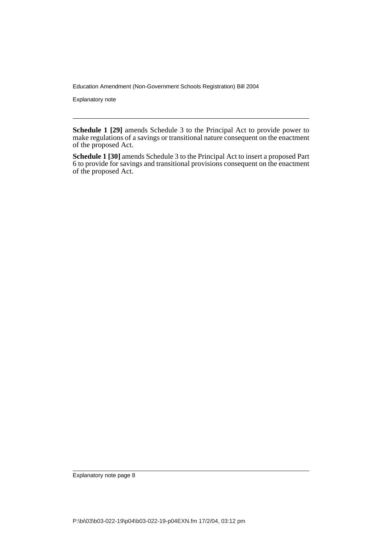Explanatory note

**Schedule 1 [29]** amends Schedule 3 to the Principal Act to provide power to make regulations of a savings or transitional nature consequent on the enactment of the proposed Act.

**Schedule 1 [30]** amends Schedule 3 to the Principal Act to insert a proposed Part 6 to provide for savings and transitional provisions consequent on the enactment of the proposed Act.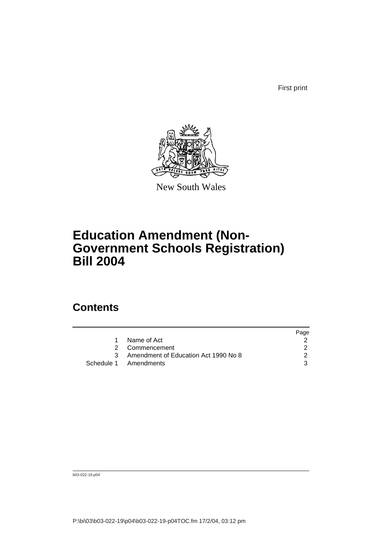First print



New South Wales

# **Education Amendment (Non-Government Schools Registration) Bill 2004**

## **Contents**

|                                                       | Page |
|-------------------------------------------------------|------|
| 1 Name of Act                                         |      |
| 2 Commencement                                        |      |
| Amendment of Education Act 1990 No 8<br>$\mathcal{R}$ |      |
| Schedule 1 Amendments                                 |      |
|                                                       |      |

b03-022-19.p04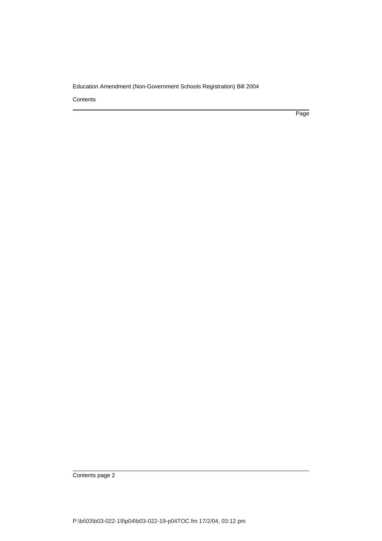**Contents** 

Page

Contents page 2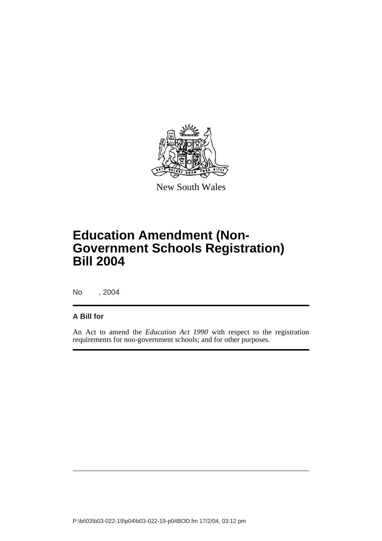

New South Wales

# **Education Amendment (Non-Government Schools Registration) Bill 2004**

No , 2004

### **A Bill for**

An Act to amend the *Education Act 1990* with respect to the registration requirements for non-government schools; and for other purposes.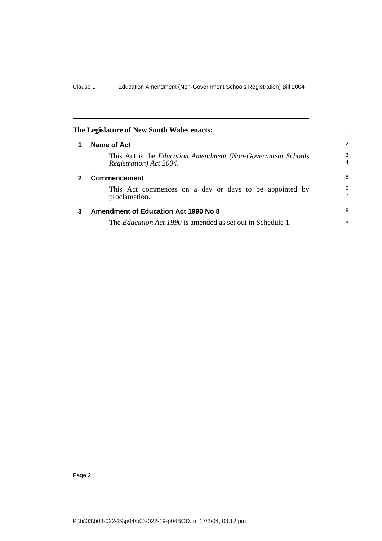<span id="page-11-2"></span><span id="page-11-1"></span><span id="page-11-0"></span>

|   | The Legislature of New South Wales enacts:                                             |                     |  |  |
|---|----------------------------------------------------------------------------------------|---------------------|--|--|
| 1 | Name of Act                                                                            | 2                   |  |  |
|   | This Act is the Education Amendment (Non-Government Schools<br>Registration) Act 2004. | 3<br>$\overline{4}$ |  |  |
| 2 | <b>Commencement</b>                                                                    | 5                   |  |  |
|   | This Act commences on a day or days to be appointed by<br>proclamation.                | 6<br>$\overline{7}$ |  |  |
| 3 | <b>Amendment of Education Act 1990 No 8</b>                                            | 8                   |  |  |
|   | The <i>Education Act 1990</i> is amended as set out in Schedule 1.                     | 9                   |  |  |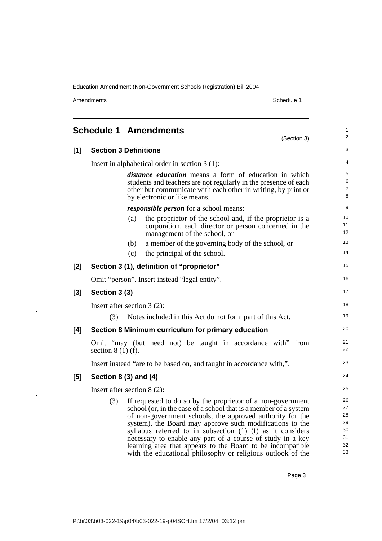Amendments Schedule 1

<span id="page-12-0"></span>

|     | <b>Schedule 1 Amendments</b>  |     |                                                                                                                                                                                                                                                                                                                                                                                                                                                                                                                   | (Section 3) | $\mathbf{1}$<br>2                            |
|-----|-------------------------------|-----|-------------------------------------------------------------------------------------------------------------------------------------------------------------------------------------------------------------------------------------------------------------------------------------------------------------------------------------------------------------------------------------------------------------------------------------------------------------------------------------------------------------------|-------------|----------------------------------------------|
| [1] | <b>Section 3 Definitions</b>  |     |                                                                                                                                                                                                                                                                                                                                                                                                                                                                                                                   |             | 3                                            |
|     |                               |     | Insert in alphabetical order in section $3(1)$ :                                                                                                                                                                                                                                                                                                                                                                                                                                                                  |             | 4                                            |
|     |                               |     | distance education means a form of education in which<br>students and teachers are not regularly in the presence of each<br>other but communicate with each other in writing, by print or<br>by electronic or like means.                                                                                                                                                                                                                                                                                         |             | 5<br>6<br>$\overline{7}$<br>8                |
|     |                               |     | <i>responsible person</i> for a school means:                                                                                                                                                                                                                                                                                                                                                                                                                                                                     |             | 9                                            |
|     |                               | (a) | the proprietor of the school and, if the proprietor is a<br>corporation, each director or person concerned in the<br>management of the school, or                                                                                                                                                                                                                                                                                                                                                                 |             | 10<br>11<br>12                               |
|     |                               | (b) | a member of the governing body of the school, or                                                                                                                                                                                                                                                                                                                                                                                                                                                                  |             | 13                                           |
|     |                               | (c) | the principal of the school.                                                                                                                                                                                                                                                                                                                                                                                                                                                                                      |             | 14                                           |
| [2] |                               |     | Section 3 (1), definition of "proprietor"                                                                                                                                                                                                                                                                                                                                                                                                                                                                         |             | 15                                           |
|     |                               |     | Omit "person". Insert instead "legal entity".                                                                                                                                                                                                                                                                                                                                                                                                                                                                     |             | 16                                           |
| [3] | Section 3 (3)                 |     |                                                                                                                                                                                                                                                                                                                                                                                                                                                                                                                   |             | 17                                           |
|     | Insert after section $3(2)$ : |     |                                                                                                                                                                                                                                                                                                                                                                                                                                                                                                                   |             | 18                                           |
|     | (3)                           |     | Notes included in this Act do not form part of this Act.                                                                                                                                                                                                                                                                                                                                                                                                                                                          |             | 19                                           |
| [4] |                               |     | Section 8 Minimum curriculum for primary education                                                                                                                                                                                                                                                                                                                                                                                                                                                                |             | 20                                           |
|     | section $8(1)$ (f).           |     | Omit "may (but need not) be taught in accordance with" from                                                                                                                                                                                                                                                                                                                                                                                                                                                       |             | 21<br>22                                     |
|     |                               |     | Insert instead "are to be based on, and taught in accordance with,".                                                                                                                                                                                                                                                                                                                                                                                                                                              |             | 23                                           |
| [5] | Section 8 (3) and (4)         |     |                                                                                                                                                                                                                                                                                                                                                                                                                                                                                                                   |             | 24                                           |
|     | Insert after section $8(2)$ : |     |                                                                                                                                                                                                                                                                                                                                                                                                                                                                                                                   |             | 25                                           |
|     | (3)                           |     | If requested to do so by the proprietor of a non-government<br>school (or, in the case of a school that is a member of a system<br>of non-government schools, the approved authority for the<br>system), the Board may approve such modifications to the<br>syllabus referred to in subsection (1) (f) as it considers<br>necessary to enable any part of a course of study in a key<br>learning area that appears to the Board to be incompatible<br>with the educational philosophy or religious outlook of the |             | 26<br>27<br>28<br>29<br>30<br>31<br>32<br>33 |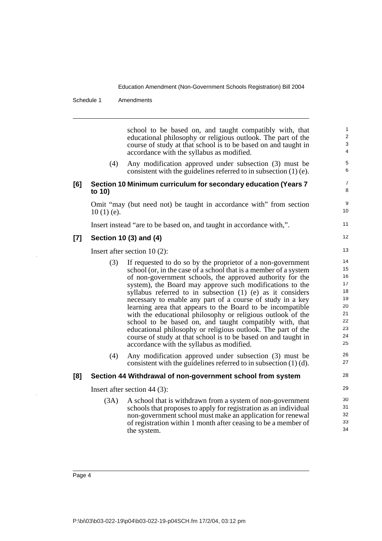Schedule 1 Amendments

school to be based on, and taught compatibly with, that educational philosophy or religious outlook. The part of the course of study at that school is to be based on and taught in accordance with the syllabus as modified.

9 10

11 12

(4) Any modification approved under subsection (3) must be consistent with the guidelines referred to in subsection (1) (e).

### **[6] Section 10 Minimum curriculum for secondary education (Years 7 to 10)**

Omit "may (but need not) be taught in accordance with" from section  $10(1)$  (e).

Insert instead "are to be based on, and taught in accordance with,".

#### **[7] Section 10 (3) and (4)**

Insert after section 10 (2):

- (3) If requested to do so by the proprietor of a non-government school (or, in the case of a school that is a member of a system of non-government schools, the approved authority for the system), the Board may approve such modifications to the syllabus referred to in subsection (1) (e) as it considers necessary to enable any part of a course of study in a key learning area that appears to the Board to be incompatible with the educational philosophy or religious outlook of the school to be based on, and taught compatibly with, that educational philosophy or religious outlook. The part of the course of study at that school is to be based on and taught in accordance with the syllabus as modified.
- (4) Any modification approved under subsection (3) must be consistent with the guidelines referred to in subsection (1) (d).

#### **[8] Section 44 Withdrawal of non-government school from system**

Insert after section 44 (3):

(3A) A school that is withdrawn from a system of non-government schools that proposes to apply for registration as an individual non-government school must make an application for renewal of registration within 1 month after ceasing to be a member of the system.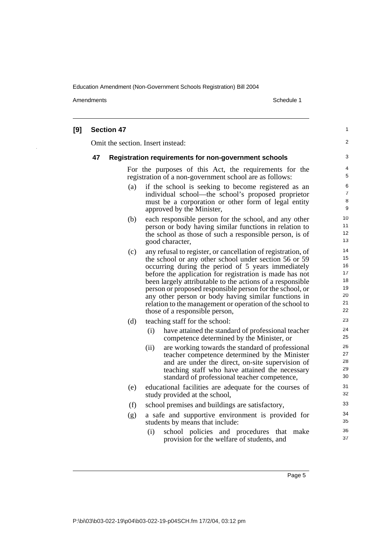Amendments Schedule 1

| [9] |    | <b>Section 47</b>                                                                                                                                                                                                                                                                                                                                                                                                                                                                                                            | 1                                                  |
|-----|----|------------------------------------------------------------------------------------------------------------------------------------------------------------------------------------------------------------------------------------------------------------------------------------------------------------------------------------------------------------------------------------------------------------------------------------------------------------------------------------------------------------------------------|----------------------------------------------------|
|     |    | Omit the section. Insert instead:                                                                                                                                                                                                                                                                                                                                                                                                                                                                                            | 2                                                  |
|     | 47 | <b>Registration requirements for non-government schools</b>                                                                                                                                                                                                                                                                                                                                                                                                                                                                  | 3                                                  |
|     |    | For the purposes of this Act, the requirements for the<br>registration of a non-government school are as follows:                                                                                                                                                                                                                                                                                                                                                                                                            | 4<br>5                                             |
|     |    | if the school is seeking to become registered as an<br>(a)<br>individual school—the school's proposed proprietor<br>must be a corporation or other form of legal entity<br>approved by the Minister,                                                                                                                                                                                                                                                                                                                         | 6<br>$\overline{7}$<br>8<br>$\boldsymbol{9}$       |
|     |    | (b)<br>each responsible person for the school, and any other<br>person or body having similar functions in relation to<br>the school as those of such a responsible person, is of<br>good character,                                                                                                                                                                                                                                                                                                                         | 10<br>11<br>12<br>13                               |
|     |    | (c)<br>any refusal to register, or cancellation of registration, of<br>the school or any other school under section 56 or 59<br>occurring during the period of 5 years immediately<br>before the application for registration is made has not<br>been largely attributable to the actions of a responsible<br>person or proposed responsible person for the school, or<br>any other person or body having similar functions in<br>relation to the management or operation of the school to<br>those of a responsible person, | 14<br>15<br>16<br>17<br>18<br>19<br>20<br>21<br>22 |
|     |    | (d)<br>teaching staff for the school:<br>(i)<br>have attained the standard of professional teacher<br>competence determined by the Minister, or<br>are working towards the standard of professional<br>(ii)<br>teacher competence determined by the Minister<br>and are under the direct, on-site supervision of<br>teaching staff who have attained the necessary<br>standard of professional teacher competence,                                                                                                           | 23<br>24<br>25<br>26<br>27<br>28<br>29<br>30       |
|     |    | educational facilities are adequate for the courses of<br>(e)<br>study provided at the school,                                                                                                                                                                                                                                                                                                                                                                                                                               | 31<br>32                                           |
|     |    | (f)<br>school premises and buildings are satisfactory,                                                                                                                                                                                                                                                                                                                                                                                                                                                                       | 33                                                 |
|     |    | a safe and supportive environment is provided for<br>(g)<br>students by means that include:<br>(i)<br>school policies and procedures that make<br>provision for the welfare of students, and                                                                                                                                                                                                                                                                                                                                 | 34<br>35<br>36<br>37                               |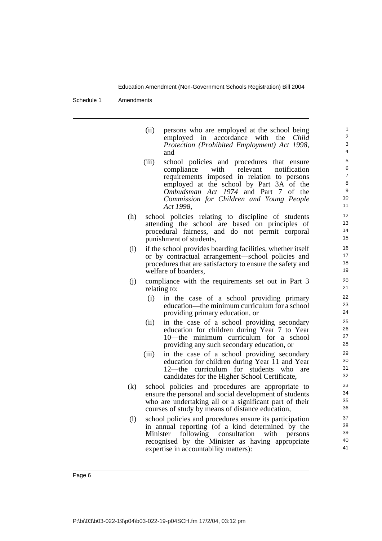Schedule 1 Amendments

| (ii) | persons who are employed at the school being        |
|------|-----------------------------------------------------|
|      | employed in accordance with the Child               |
|      | Protection (Prohibited Employment) Act 1998,<br>and |

- (iii) school policies and procedures that ensure compliance with relevant notification requirements imposed in relation to persons employed at the school by Part 3A of the *Ombudsman Act 1974* and Part 7 of the *Commission for Children and Young People Act 1998*,
- (h) school policies relating to discipline of students attending the school are based on principles of procedural fairness, and do not permit corporal punishment of students,
- (i) if the school provides boarding facilities, whether itself or by contractual arrangement—school policies and procedures that are satisfactory to ensure the safety and welfare of boarders,
- (j) compliance with the requirements set out in Part 3 relating to:
	- (i) in the case of a school providing primary education—the minimum curriculum for a school providing primary education, or
	- (ii) in the case of a school providing secondary education for children during Year 7 to Year 10—the minimum curriculum for a school providing any such secondary education, or
	- (iii) in the case of a school providing secondary education for children during Year 11 and Year 12—the curriculum for students who are candidates for the Higher School Certificate,
- (k) school policies and procedures are appropriate to ensure the personal and social development of students who are undertaking all or a significant part of their courses of study by means of distance education,
- (l) school policies and procedures ensure its participation in annual reporting (of a kind determined by the Minister following consultation with persons recognised by the Minister as having appropriate expertise in accountability matters):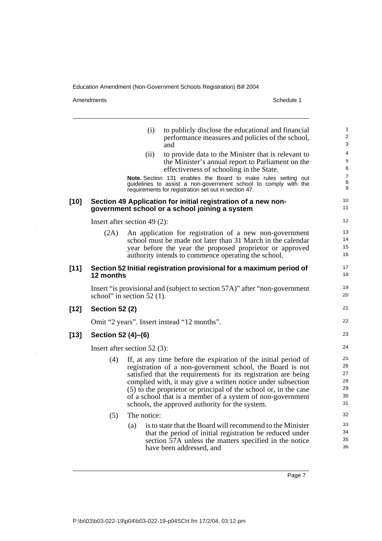Amendments Schedule 1

 $\ddot{\phantom{a}}$ 

l.

|      |                       | (i)                             | to publicly disclose the educational and financial<br>performance measures and policies of the school,<br>and                                                                                                                                                                                                                                                                                                                                      | $\mathbf{1}$<br>$\overline{2}$<br>3    |
|------|-----------------------|---------------------------------|----------------------------------------------------------------------------------------------------------------------------------------------------------------------------------------------------------------------------------------------------------------------------------------------------------------------------------------------------------------------------------------------------------------------------------------------------|----------------------------------------|
|      |                       | (ii)                            | to provide data to the Minister that is relevant to<br>the Minister's annual report to Parliament on the<br>effectiveness of schooling in the State.                                                                                                                                                                                                                                                                                               | 4<br>$\mathbf 5$<br>6                  |
|      |                       |                                 | Note. Section 131 enables the Board to make rules setting out<br>guidelines to assist a non-government school to comply with the<br>requirements for registration set out in section 47.                                                                                                                                                                                                                                                           | $\overline{7}$<br>8<br>9               |
| [10] |                       |                                 | Section 49 Application for initial registration of a new non-<br>government school or a school joining a system                                                                                                                                                                                                                                                                                                                                    | 10<br>11                               |
|      |                       | Insert after section 49 $(2)$ : |                                                                                                                                                                                                                                                                                                                                                                                                                                                    | 12                                     |
|      | (2A)                  |                                 | An application for registration of a new non-government<br>school must be made not later than 31 March in the calendar<br>year before the year the proposed proprietor or approved<br>authority intends to commence operating the school.                                                                                                                                                                                                          | 13<br>14<br>15<br>16                   |
| [11] | 12 months             |                                 | Section 52 Initial registration provisional for a maximum period of                                                                                                                                                                                                                                                                                                                                                                                | 17<br>18                               |
|      |                       | school" in section $52$ (1).    | Insert "is provisional and (subject to section 57A)" after "non-government"                                                                                                                                                                                                                                                                                                                                                                        | 19<br>20                               |
| [12] | <b>Section 52 (2)</b> |                                 |                                                                                                                                                                                                                                                                                                                                                                                                                                                    | 21                                     |
|      |                       |                                 | Omit "2 years". Insert instead "12 months".                                                                                                                                                                                                                                                                                                                                                                                                        | 22                                     |
| [13] | Section 52 (4)-(6)    |                                 |                                                                                                                                                                                                                                                                                                                                                                                                                                                    | 23                                     |
|      |                       | Insert after section $52$ (3):  |                                                                                                                                                                                                                                                                                                                                                                                                                                                    | 24                                     |
|      | (4)                   |                                 | If, at any time before the expiration of the initial period of<br>registration of a non-government school, the Board is not<br>satisfied that the requirements for its registration are being<br>complied with, it may give a written notice under subsection<br>(5) to the proprietor or principal of the school or, in the case<br>of a school that is a member of a system of non-government<br>schools, the approved authority for the system. | 25<br>26<br>27<br>28<br>29<br>30<br>31 |
|      | (5)                   | The notice:                     |                                                                                                                                                                                                                                                                                                                                                                                                                                                    | 32                                     |
|      |                       | (a)                             | is to state that the Board will recommend to the Minister<br>that the period of initial registration be reduced under<br>section 57A unless the matters specified in the notice<br>have been addressed, and                                                                                                                                                                                                                                        | 33<br>34<br>35<br>36                   |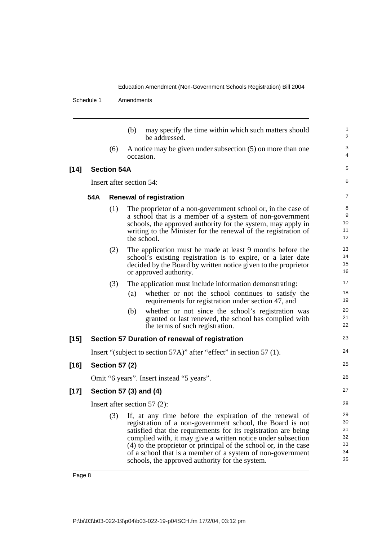Schedule 1 Amendments

l.

|     |     | (b)<br>be addressed.                                       | $\mathbf{1}$<br>2                                                                                                                                                                                                                                                                                                                                                                                                                                                                                                                                                                                                                                                                                                                                                                                                                                                                                                                                                                                                                                                                                                                                                                                                                                                                                                                                                                                                                                                                                 |
|-----|-----|------------------------------------------------------------|---------------------------------------------------------------------------------------------------------------------------------------------------------------------------------------------------------------------------------------------------------------------------------------------------------------------------------------------------------------------------------------------------------------------------------------------------------------------------------------------------------------------------------------------------------------------------------------------------------------------------------------------------------------------------------------------------------------------------------------------------------------------------------------------------------------------------------------------------------------------------------------------------------------------------------------------------------------------------------------------------------------------------------------------------------------------------------------------------------------------------------------------------------------------------------------------------------------------------------------------------------------------------------------------------------------------------------------------------------------------------------------------------------------------------------------------------------------------------------------------------|
|     | (6) | occasion.                                                  | 3<br>4                                                                                                                                                                                                                                                                                                                                                                                                                                                                                                                                                                                                                                                                                                                                                                                                                                                                                                                                                                                                                                                                                                                                                                                                                                                                                                                                                                                                                                                                                            |
|     |     |                                                            | 5                                                                                                                                                                                                                                                                                                                                                                                                                                                                                                                                                                                                                                                                                                                                                                                                                                                                                                                                                                                                                                                                                                                                                                                                                                                                                                                                                                                                                                                                                                 |
|     |     |                                                            | 6                                                                                                                                                                                                                                                                                                                                                                                                                                                                                                                                                                                                                                                                                                                                                                                                                                                                                                                                                                                                                                                                                                                                                                                                                                                                                                                                                                                                                                                                                                 |
| 54A |     |                                                            | $\overline{7}$                                                                                                                                                                                                                                                                                                                                                                                                                                                                                                                                                                                                                                                                                                                                                                                                                                                                                                                                                                                                                                                                                                                                                                                                                                                                                                                                                                                                                                                                                    |
|     | (1) | the school.                                                | 8<br>9<br>10<br>11<br>12                                                                                                                                                                                                                                                                                                                                                                                                                                                                                                                                                                                                                                                                                                                                                                                                                                                                                                                                                                                                                                                                                                                                                                                                                                                                                                                                                                                                                                                                          |
|     | (2) | or approved authority.                                     | 13<br>14<br>15<br>16                                                                                                                                                                                                                                                                                                                                                                                                                                                                                                                                                                                                                                                                                                                                                                                                                                                                                                                                                                                                                                                                                                                                                                                                                                                                                                                                                                                                                                                                              |
|     | (3) | The application must include information demonstrating:    | 17                                                                                                                                                                                                                                                                                                                                                                                                                                                                                                                                                                                                                                                                                                                                                                                                                                                                                                                                                                                                                                                                                                                                                                                                                                                                                                                                                                                                                                                                                                |
|     |     | (a)<br>requirements for registration under section 47, and | 18<br>19                                                                                                                                                                                                                                                                                                                                                                                                                                                                                                                                                                                                                                                                                                                                                                                                                                                                                                                                                                                                                                                                                                                                                                                                                                                                                                                                                                                                                                                                                          |
|     |     | (b)<br>the terms of such registration.                     | 20<br>21<br>22                                                                                                                                                                                                                                                                                                                                                                                                                                                                                                                                                                                                                                                                                                                                                                                                                                                                                                                                                                                                                                                                                                                                                                                                                                                                                                                                                                                                                                                                                    |
|     |     |                                                            | 23                                                                                                                                                                                                                                                                                                                                                                                                                                                                                                                                                                                                                                                                                                                                                                                                                                                                                                                                                                                                                                                                                                                                                                                                                                                                                                                                                                                                                                                                                                |
|     |     |                                                            | 24                                                                                                                                                                                                                                                                                                                                                                                                                                                                                                                                                                                                                                                                                                                                                                                                                                                                                                                                                                                                                                                                                                                                                                                                                                                                                                                                                                                                                                                                                                |
|     |     |                                                            | 25                                                                                                                                                                                                                                                                                                                                                                                                                                                                                                                                                                                                                                                                                                                                                                                                                                                                                                                                                                                                                                                                                                                                                                                                                                                                                                                                                                                                                                                                                                |
|     |     |                                                            | 26                                                                                                                                                                                                                                                                                                                                                                                                                                                                                                                                                                                                                                                                                                                                                                                                                                                                                                                                                                                                                                                                                                                                                                                                                                                                                                                                                                                                                                                                                                |
|     |     |                                                            | 27                                                                                                                                                                                                                                                                                                                                                                                                                                                                                                                                                                                                                                                                                                                                                                                                                                                                                                                                                                                                                                                                                                                                                                                                                                                                                                                                                                                                                                                                                                |
|     |     |                                                            | 28                                                                                                                                                                                                                                                                                                                                                                                                                                                                                                                                                                                                                                                                                                                                                                                                                                                                                                                                                                                                                                                                                                                                                                                                                                                                                                                                                                                                                                                                                                |
|     | (3) | schools, the approved authority for the system.            | 29<br>30<br>31<br>32<br>33<br>34<br>35                                                                                                                                                                                                                                                                                                                                                                                                                                                                                                                                                                                                                                                                                                                                                                                                                                                                                                                                                                                                                                                                                                                                                                                                                                                                                                                                                                                                                                                            |
|     |     |                                                            | may specify the time within which such matters should<br>A notice may be given under subsection (5) on more than one<br><b>Section 54A</b><br>Insert after section 54:<br><b>Renewal of registration</b><br>The proprietor of a non-government school or, in the case of<br>a school that is a member of a system of non-government<br>schools, the approved authority for the system, may apply in<br>writing to the Minister for the renewal of the registration of<br>The application must be made at least 9 months before the<br>school's existing registration is to expire, or a later date<br>decided by the Board by written notice given to the proprietor<br>whether or not the school continues to satisfy the<br>whether or not since the school's registration was<br>granted or last renewed, the school has complied with<br>Section 57 Duration of renewal of registration<br>Insert "(subject to section 57A)" after "effect" in section 57 (1).<br><b>Section 57 (2)</b><br>Omit "6 years". Insert instead "5 years".<br>Section 57 (3) and (4)<br>Insert after section 57 $(2)$ :<br>If, at any time before the expiration of the renewal of<br>registration of a non-government school, the Board is not<br>satisfied that the requirements for its registration are being<br>complied with, it may give a written notice under subsection<br>(4) to the proprietor or principal of the school or, in the case<br>of a school that is a member of a system of non-government |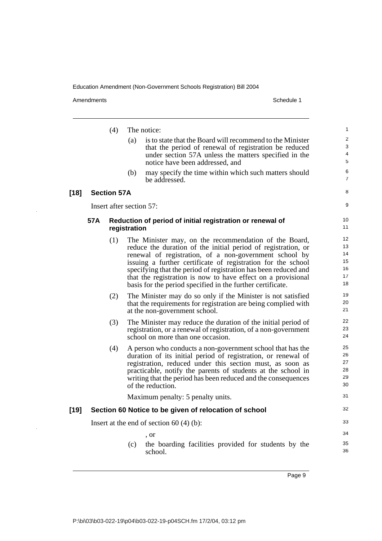Amendments Schedule 1

 $\frac{1}{2}$ 

 $\frac{1}{2}$ 

|      |     | (4)                | The notice:                                                                                                                                                                                                                                                                                                                                                                                                                                       | 1                                      |
|------|-----|--------------------|---------------------------------------------------------------------------------------------------------------------------------------------------------------------------------------------------------------------------------------------------------------------------------------------------------------------------------------------------------------------------------------------------------------------------------------------------|----------------------------------------|
|      |     |                    | (a)<br>is to state that the Board will recommend to the Minister<br>that the period of renewal of registration be reduced                                                                                                                                                                                                                                                                                                                         | $\overline{\mathbf{c}}$<br>3           |
|      |     |                    | under section 57A unless the matters specified in the<br>notice have been addressed, and                                                                                                                                                                                                                                                                                                                                                          | 4<br>5                                 |
|      |     |                    | may specify the time within which such matters should<br>(b)<br>be addressed.                                                                                                                                                                                                                                                                                                                                                                     | 6<br>$\overline{7}$                    |
| [18] |     | <b>Section 57A</b> |                                                                                                                                                                                                                                                                                                                                                                                                                                                   | 8                                      |
|      |     |                    | Insert after section 57:                                                                                                                                                                                                                                                                                                                                                                                                                          | 9                                      |
|      | 57A |                    | Reduction of period of initial registration or renewal of<br>registration                                                                                                                                                                                                                                                                                                                                                                         | 10<br>11                               |
|      |     | (1)                | The Minister may, on the recommendation of the Board,<br>reduce the duration of the initial period of registration, or<br>renewal of registration, of a non-government school by<br>issuing a further certificate of registration for the school<br>specifying that the period of registration has been reduced and<br>that the registration is now to have effect on a provisional<br>basis for the period specified in the further certificate. | 12<br>13<br>14<br>15<br>16<br>17<br>18 |
|      |     | (2)                | The Minister may do so only if the Minister is not satisfied<br>that the requirements for registration are being complied with<br>at the non-government school.                                                                                                                                                                                                                                                                                   | 19<br>20<br>21                         |
|      |     | (3)                | The Minister may reduce the duration of the initial period of<br>registration, or a renewal of registration, of a non-government<br>school on more than one occasion.                                                                                                                                                                                                                                                                             | 22<br>23<br>24                         |
|      |     | (4)                | A person who conducts a non-government school that has the<br>duration of its initial period of registration, or renewal of<br>registration, reduced under this section must, as soon as<br>practicable, notify the parents of students at the school in<br>writing that the period has been reduced and the consequences<br>of the reduction.                                                                                                    | 25<br>26<br>27<br>28<br>29<br>30       |
|      |     |                    | Maximum penalty: 5 penalty units.                                                                                                                                                                                                                                                                                                                                                                                                                 | 31                                     |
| [19] |     |                    | Section 60 Notice to be given of relocation of school                                                                                                                                                                                                                                                                                                                                                                                             | 32                                     |
|      |     |                    | Insert at the end of section 60 $(4)$ (b):                                                                                                                                                                                                                                                                                                                                                                                                        | 33                                     |
|      |     |                    | , or                                                                                                                                                                                                                                                                                                                                                                                                                                              | 34                                     |
|      |     |                    | the boarding facilities provided for students by the<br>(c)<br>school.                                                                                                                                                                                                                                                                                                                                                                            | 35<br>36                               |
|      |     |                    |                                                                                                                                                                                                                                                                                                                                                                                                                                                   |                                        |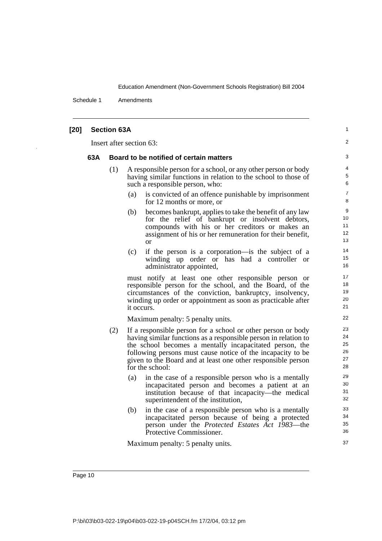Schedule 1 Amendments

| [20] |     | <b>Section 63A</b> |                                                                                                                                                                                                                                                                                                                                              | 1                                |
|------|-----|--------------------|----------------------------------------------------------------------------------------------------------------------------------------------------------------------------------------------------------------------------------------------------------------------------------------------------------------------------------------------|----------------------------------|
|      |     |                    | Insert after section 63:                                                                                                                                                                                                                                                                                                                     | 2                                |
|      | 63A |                    | Board to be notified of certain matters                                                                                                                                                                                                                                                                                                      | 3                                |
|      |     | (1)                | A responsible person for a school, or any other person or body<br>having similar functions in relation to the school to those of<br>such a responsible person, who:                                                                                                                                                                          | 4<br>5<br>6                      |
|      |     |                    | is convicted of an offence punishable by imprisonment<br>(a)<br>for 12 months or more, or                                                                                                                                                                                                                                                    | 7<br>8                           |
|      |     |                    | becomes bankrupt, applies to take the benefit of any law<br>(b)<br>for the relief of bankrupt or insolvent debtors,<br>compounds with his or her creditors or makes an<br>assignment of his or her remuneration for their benefit,<br><b>or</b>                                                                                              | 9<br>10<br>11<br>12<br>13        |
|      |     |                    | (c)<br>if the person is a corporation—is the subject of a<br>winding up order or has had a controller<br><sub>or</sub><br>administrator appointed,                                                                                                                                                                                           | 14<br>15<br>16                   |
|      |     |                    | must notify at least one other responsible person or<br>responsible person for the school, and the Board, of the<br>circumstances of the conviction, bankruptcy, insolvency,<br>winding up order or appointment as soon as practicable after<br>it occurs.                                                                                   | 17<br>18<br>19<br>20<br>21       |
|      |     |                    | Maximum penalty: 5 penalty units.                                                                                                                                                                                                                                                                                                            | 22                               |
|      |     | (2)                | If a responsible person for a school or other person or body<br>having similar functions as a responsible person in relation to<br>the school becomes a mentally incapacitated person, the<br>following persons must cause notice of the incapacity to be<br>given to the Board and at least one other responsible person<br>for the school: | 23<br>24<br>25<br>26<br>27<br>28 |
|      |     |                    | (a)<br>in the case of a responsible person who is a mentally<br>incapacitated person and becomes a patient at an<br>institution because of that incapacity-the medical<br>superintendent of the institution,                                                                                                                                 | 29<br>30<br>31<br>32             |
|      |     |                    | (b)<br>in the case of a responsible person who is a mentally<br>incapacitated person because of being a protected<br>person under the <i>Protected Estates Act 1983</i> —the<br>Protective Commissioner.                                                                                                                                     | 33<br>34<br>35<br>36             |
|      |     |                    | Maximum penalty: 5 penalty units.                                                                                                                                                                                                                                                                                                            | 37                               |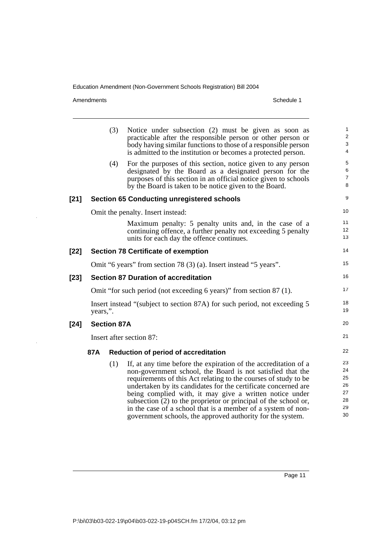Amendments Schedule 1

 $\ddot{\phantom{a}}$ 

|      |          | (3)                | Notice under subsection (2) must be given as soon as<br>practicable after the responsible person or other person or<br>body having similar functions to those of a responsible person<br>is admitted to the institution or becomes a protected person. | $\mathbf{1}$<br>$\boldsymbol{2}$<br>3<br>4 |
|------|----------|--------------------|--------------------------------------------------------------------------------------------------------------------------------------------------------------------------------------------------------------------------------------------------------|--------------------------------------------|
|      |          | (4)                | For the purposes of this section, notice given to any person<br>designated by the Board as a designated person for the<br>purposes of this section in an official notice given to schools<br>by the Board is taken to be notice given to the Board.    | $\sqrt{5}$<br>6<br>$\overline{7}$<br>8     |
| [21] |          |                    | <b>Section 65 Conducting unregistered schools</b>                                                                                                                                                                                                      | 9                                          |
|      |          |                    | Omit the penalty. Insert instead:                                                                                                                                                                                                                      | 10                                         |
|      |          |                    | Maximum penalty: 5 penalty units and, in the case of a<br>continuing offence, a further penalty not exceeding 5 penalty<br>units for each day the offence continues.                                                                                   | 11<br>12<br>13                             |
| [22] |          |                    | <b>Section 78 Certificate of exemption</b>                                                                                                                                                                                                             | 14                                         |
|      |          |                    | Omit "6 years" from section 78 (3) (a). Insert instead "5 years".                                                                                                                                                                                      | 15                                         |
| [23] |          |                    | <b>Section 87 Duration of accreditation</b>                                                                                                                                                                                                            | 16                                         |
|      |          |                    | Omit "for such period (not exceeding 6 years)" from section 87 (1).                                                                                                                                                                                    | 17                                         |
|      | years,". |                    | Insert instead "(subject to section 87A) for such period, not exceeding 5                                                                                                                                                                              | 18<br>19                                   |
| [24] |          | <b>Section 87A</b> |                                                                                                                                                                                                                                                        | 20                                         |
|      |          |                    | Insert after section 87:                                                                                                                                                                                                                               | 21                                         |
|      | 87A      |                    | Reduction of period of accreditation                                                                                                                                                                                                                   | 22                                         |
|      |          | (1)                | If, at any time before the expiration of the accreditation of a                                                                                                                                                                                        | 23                                         |
|      |          |                    | non-government school, the Board is not satisfied that the                                                                                                                                                                                             | 24                                         |
|      |          |                    | requirements of this Act relating to the courses of study to be                                                                                                                                                                                        | 25                                         |
|      |          |                    | undertaken by its candidates for the certificate concerned are                                                                                                                                                                                         | 26                                         |
|      |          |                    | being complied with, it may give a written notice under                                                                                                                                                                                                | 27                                         |
|      |          |                    | subsection (2) to the proprietor or principal of the school or,                                                                                                                                                                                        | 28                                         |
|      |          |                    | in the case of a school that is a member of a system of non-                                                                                                                                                                                           | 29                                         |
|      |          |                    | government schools, the approved authority for the system.                                                                                                                                                                                             | 30                                         |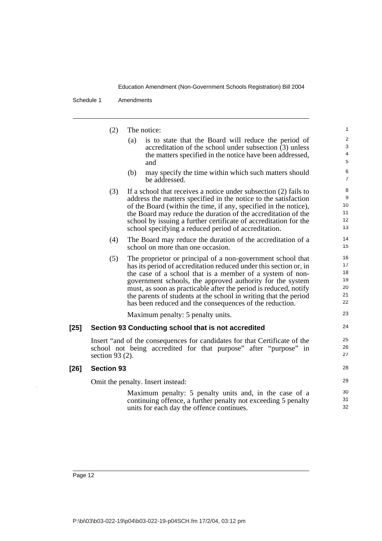Schedule 1 Amendments

|        | (2)               | The notice:                                                                                                                                                                                                                                                                                                                                                                                                                                                   |  |
|--------|-------------------|---------------------------------------------------------------------------------------------------------------------------------------------------------------------------------------------------------------------------------------------------------------------------------------------------------------------------------------------------------------------------------------------------------------------------------------------------------------|--|
|        |                   | is to state that the Board will reduce the period of<br>(a)<br>accreditation of the school under subsection $\overline{(3)}$ unless<br>the matters specified in the notice have been addressed,<br>and                                                                                                                                                                                                                                                        |  |
|        |                   | may specify the time within which such matters should<br>(b)<br>be addressed.                                                                                                                                                                                                                                                                                                                                                                                 |  |
|        | (3)               | If a school that receives a notice under subsection (2) fails to<br>address the matters specified in the notice to the satisfaction<br>of the Board (within the time, if any, specified in the notice),<br>the Board may reduce the duration of the accreditation of the<br>school by issuing a further certificate of accreditation for the<br>school specifying a reduced period of accreditation.                                                          |  |
|        | (4)               | The Board may reduce the duration of the accreditation of a<br>school on more than one occasion.                                                                                                                                                                                                                                                                                                                                                              |  |
|        | (5)               | The proprietor or principal of a non-government school that<br>has its period of accreditation reduced under this section or, in<br>the case of a school that is a member of a system of non-<br>government schools, the approved authority for the system<br>must, as soon as practicable after the period is reduced, notify<br>the parents of students at the school in writing that the period<br>has been reduced and the consequences of the reduction. |  |
|        |                   | Maximum penalty: 5 penalty units.                                                                                                                                                                                                                                                                                                                                                                                                                             |  |
| $[25]$ |                   | Section 93 Conducting school that is not accredited                                                                                                                                                                                                                                                                                                                                                                                                           |  |
|        | section $93(2)$ . | Insert "and of the consequences for candidates for that Certificate of the<br>school not being accredited for that purpose" after "purpose" in                                                                                                                                                                                                                                                                                                                |  |
| $[26]$ | <b>Section 93</b> |                                                                                                                                                                                                                                                                                                                                                                                                                                                               |  |
|        |                   | Omit the penalty. Insert instead:                                                                                                                                                                                                                                                                                                                                                                                                                             |  |
|        |                   | Maximum penalty: 5 penalty units and, in the case of a<br>continuing offence, a further penalty not exceeding 5 penalty<br>units for each day the offence continues.                                                                                                                                                                                                                                                                                          |  |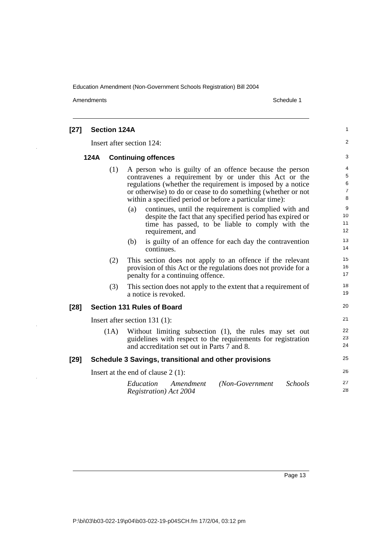Amendments Schedule 1

l,

| [27] |      | <b>Section 124A</b> |                                                                                                                                                                                                                                                                                                            | $\mathbf{1}$                                                         |
|------|------|---------------------|------------------------------------------------------------------------------------------------------------------------------------------------------------------------------------------------------------------------------------------------------------------------------------------------------------|----------------------------------------------------------------------|
|      |      |                     | Insert after section 124:                                                                                                                                                                                                                                                                                  | 2                                                                    |
|      | 124A |                     | <b>Continuing offences</b>                                                                                                                                                                                                                                                                                 | 3                                                                    |
|      |      | (1)                 | A person who is guilty of an offence because the person<br>contravenes a requirement by or under this Act or the<br>regulations (whether the requirement is imposed by a notice<br>or otherwise) to do or cease to do something (whether or not<br>within a specified period or before a particular time): | $\overline{4}$<br>$\,$ 5 $\,$<br>$\,6\,$<br>$\overline{7}$<br>$\bf8$ |
|      |      |                     | continues, until the requirement is complied with and<br>(a)<br>despite the fact that any specified period has expired or<br>time has passed, to be liable to comply with the<br>requirement, and                                                                                                          | 9<br>10<br>11<br>12                                                  |
|      |      |                     | is guilty of an offence for each day the contravention<br>(b)<br>continues.                                                                                                                                                                                                                                | 13<br>14                                                             |
|      |      | (2)                 | This section does not apply to an offence if the relevant<br>provision of this Act or the regulations does not provide for a<br>penalty for a continuing offence.                                                                                                                                          | 15<br>16<br>17                                                       |
|      |      | (3)                 | This section does not apply to the extent that a requirement of<br>a notice is revoked.                                                                                                                                                                                                                    | 18<br>19                                                             |
| [28] |      |                     | <b>Section 131 Rules of Board</b>                                                                                                                                                                                                                                                                          | 20                                                                   |
|      |      |                     | Insert after section $131(1)$ :                                                                                                                                                                                                                                                                            | 21                                                                   |
|      |      | (1A)                | Without limiting subsection (1), the rules may set out<br>guidelines with respect to the requirements for registration<br>and accreditation set out in Parts 7 and 8.                                                                                                                                      | 22<br>23<br>24                                                       |
| [29] |      |                     | Schedule 3 Savings, transitional and other provisions                                                                                                                                                                                                                                                      | 25                                                                   |
|      |      |                     | Insert at the end of clause $2(1)$ :                                                                                                                                                                                                                                                                       | 26                                                                   |
|      |      |                     | Education<br>(Non-Government<br><i>Schools</i><br>Amendment<br>Registration) Act 2004                                                                                                                                                                                                                      | 27<br>28                                                             |